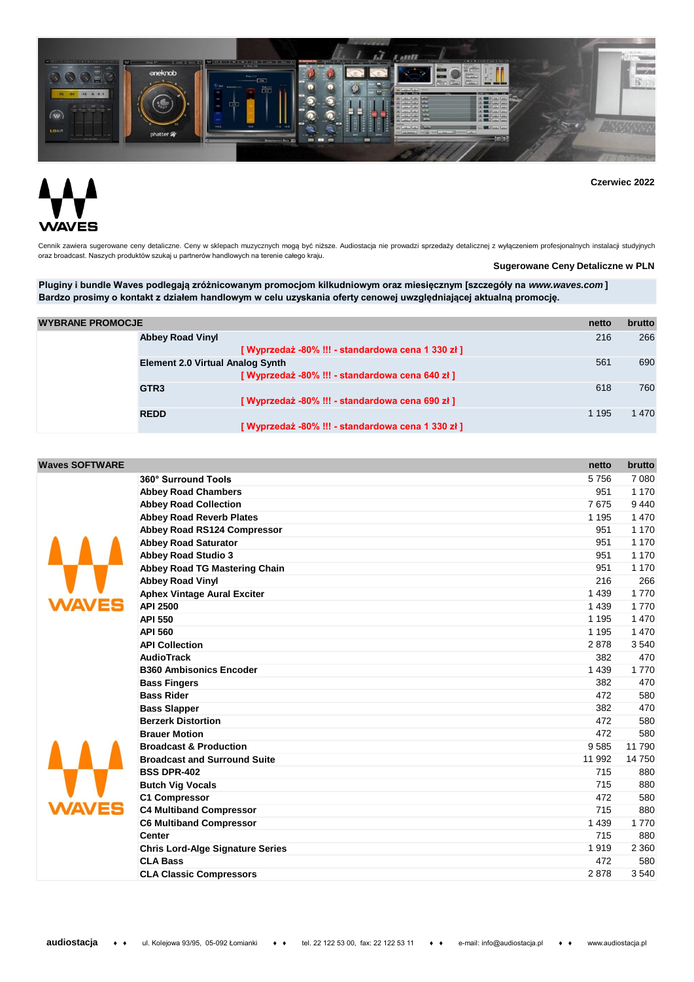

**Czerwiec 2022**

## ΈS IΔ\

Cennik zawiera sugerowane ceny detaliczne. Ceny w sklepach muzycznych mogą być niższe. Audiostacja nie prowadzi sprzedaży detalicznej z wyłączeniem profesjonalnych instalacji studyjnych oraz broadcast. Naszych produktów szukaj u partnerów handlowych na terenie całego kraju.

**Sugerowane Ceny Detaliczne w PLN**

**Pluginy i bundle Waves podlegają zróżnicowanym promocjom kilkudniowym oraz miesięcznym [szczegóły na** *www.waves.com* **] Bardzo prosimy o kontakt z działem handlowym w celu uzyskania oferty cenowej uwzględniającej aktualną promocję.**

| <b>WYBRANE PROMOCJE</b> |                                                    | netto   | brutto  |
|-------------------------|----------------------------------------------------|---------|---------|
|                         | <b>Abbey Road Vinyl</b>                            | 216     | 266     |
|                         | [ Wyprzedaż -80% !!! - standardowa cena 1 330 zł ] |         |         |
|                         | <b>Element 2.0 Virtual Analog Synth</b>            | 561     | 690     |
|                         | [ Wyprzedaż -80% !!! - standardowa cena 640 zł ]   |         |         |
|                         | GTR <sub>3</sub>                                   | 618     | 760     |
|                         | [Wyprzedaż -80% !!! - standardowa cena 690 zł]     |         |         |
|                         | <b>REDD</b>                                        | 1 1 9 5 | 1 4 7 0 |
|                         | [Wyprzedaż -80% !!! - standardowa cena 1 330 zł ]  |         |         |

| <b>Waves SOFTWARE</b> |                                         |         | brutto  |
|-----------------------|-----------------------------------------|---------|---------|
|                       |                                         | netto   |         |
|                       | 360° Surround Tools                     | 5756    | 7 0 8 0 |
|                       | <b>Abbey Road Chambers</b>              | 951     | 1 1 7 0 |
|                       | <b>Abbey Road Collection</b>            | 7675    | 9 4 4 0 |
|                       | <b>Abbey Road Reverb Plates</b>         | 1 1 9 5 | 1 4 7 0 |
|                       | Abbey Road RS124 Compressor             | 951     | 1 1 7 0 |
|                       | <b>Abbey Road Saturator</b>             | 951     | 1 1 7 0 |
|                       | <b>Abbey Road Studio 3</b>              | 951     | 1 1 7 0 |
|                       | <b>Abbey Road TG Mastering Chain</b>    | 951     | 1 1 7 0 |
|                       | <b>Abbey Road Vinyl</b>                 | 216     | 266     |
|                       | <b>Aphex Vintage Aural Exciter</b>      | 1 4 3 9 | 1770    |
|                       | <b>API 2500</b>                         | 1 4 3 9 | 1770    |
|                       | <b>API 550</b>                          | 1 1 9 5 | 1 4 7 0 |
|                       | <b>API 560</b>                          | 1 1 9 5 | 1 470   |
|                       | <b>API Collection</b>                   | 2878    | 3540    |
|                       | <b>AudioTrack</b>                       | 382     | 470     |
|                       | <b>B360 Ambisonics Encoder</b>          | 1 4 3 9 | 1770    |
|                       | <b>Bass Fingers</b>                     | 382     | 470     |
|                       | <b>Bass Rider</b>                       | 472     | 580     |
|                       | <b>Bass Slapper</b>                     | 382     | 470     |
|                       | <b>Berzerk Distortion</b>               | 472     | 580     |
|                       | <b>Brauer Motion</b>                    | 472     | 580     |
|                       | <b>Broadcast &amp; Production</b>       | 9585    | 11 790  |
|                       | <b>Broadcast and Surround Suite</b>     | 11 992  | 14 750  |
|                       | <b>BSS DPR-402</b>                      | 715     | 880     |
|                       | <b>Butch Vig Vocals</b>                 | 715     | 880     |
|                       | <b>C1 Compressor</b>                    | 472     | 580     |
|                       | <b>C4 Multiband Compressor</b>          | 715     | 880     |
|                       | <b>C6 Multiband Compressor</b>          | 1 4 3 9 | 1770    |
|                       | <b>Center</b>                           | 715     | 880     |
|                       | <b>Chris Lord-Alge Signature Series</b> | 1919    | 2 3 6 0 |
|                       | <b>CLA Bass</b>                         | 472     | 580     |
|                       | <b>CLA Classic Compressors</b>          | 2878    | 3540    |
|                       |                                         |         |         |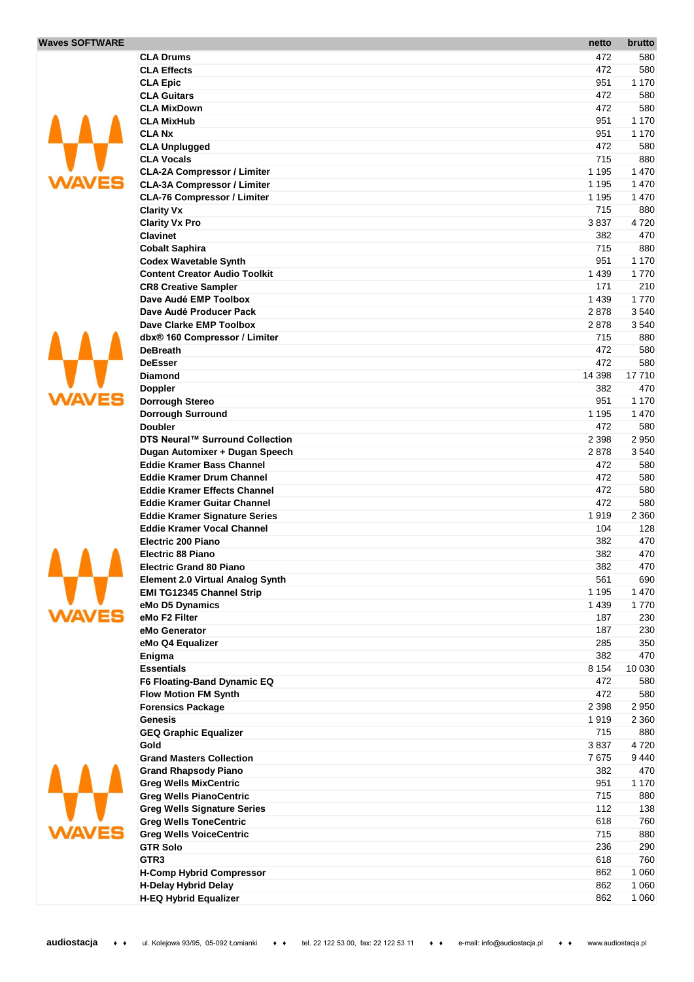## **Waves**

 $\overline{\mathsf{v}}$ 

 $\overline{\mathsf{v}}$ 

 $\mathbf v$ 

Δ

 $\mathbf v$ 

| <b>SOFTWARE</b> |                                                                            | netto              | brutto         |
|-----------------|----------------------------------------------------------------------------|--------------------|----------------|
|                 | <b>CLA Drums</b>                                                           | 472                | 580            |
|                 | <b>CLA Effects</b>                                                         | 472                | 580            |
|                 | <b>CLA Epic</b>                                                            | 951                | 1 170          |
|                 | <b>CLA Guitars</b>                                                         | 472                | 580            |
|                 | <b>CLA MixDown</b>                                                         | 472                | 580            |
|                 | <b>CLA MixHub</b>                                                          | 951                | 1 170          |
|                 | <b>CLANX</b>                                                               | 951                | 1 170          |
|                 | <b>CLA Unplugged</b>                                                       | 472                | 580            |
|                 | <b>CLA Vocals</b>                                                          | 715                | 880            |
|                 | <b>CLA-2A Compressor / Limiter</b>                                         | 1 1 9 5            | 1 470          |
|                 | <b>CLA-3A Compressor / Limiter</b><br><b>CLA-76 Compressor / Limiter</b>   | 1 1 9 5<br>1 1 9 5 | 1 470          |
|                 |                                                                            | 715                | 1 470<br>880   |
|                 | <b>Clarity Vx</b><br><b>Clarity Vx Pro</b>                                 | 3837               | 4720           |
|                 | <b>Clavinet</b>                                                            | 382                | 470            |
|                 | <b>Cobalt Saphira</b>                                                      | 715                | 880            |
|                 | <b>Codex Wavetable Synth</b>                                               | 951                | 1 170          |
|                 | <b>Content Creator Audio Toolkit</b>                                       | 1 4 3 9            | 1770           |
|                 | <b>CR8 Creative Sampler</b>                                                | 171                | 210            |
|                 | Dave Audé EMP Toolbox                                                      | 1 4 3 9            | 1770           |
|                 | Dave Audé Producer Pack                                                    | 2878               | 3540           |
|                 | Dave Clarke EMP Toolbox                                                    | 2878               | 3540           |
|                 | dbx® 160 Compressor / Limiter                                              | 715                | 880            |
|                 | <b>DeBreath</b>                                                            | 472                | 580            |
|                 | <b>DeEsser</b>                                                             | 472                | 580            |
|                 | <b>Diamond</b>                                                             | 14 398             | 17710          |
|                 | <b>Doppler</b>                                                             | 382                | 470            |
|                 | <b>Dorrough Stereo</b>                                                     | 951                | 1 170          |
|                 | Dorrough Surround                                                          | 1 1 9 5            | 1 470          |
|                 | <b>Doubler</b>                                                             | 472                | 580            |
|                 | DTS Neural™ Surround Collection                                            | 2 3 9 8            | 2 9 5 0        |
|                 | Dugan Automixer + Dugan Speech                                             | 2878               | 3540           |
|                 | <b>Eddie Kramer Bass Channel</b>                                           | 472                | 580            |
|                 | <b>Eddie Kramer Drum Channel</b>                                           | 472                | 580            |
|                 | <b>Eddie Kramer Effects Channel</b>                                        | 472<br>472         | 580            |
|                 | <b>Eddie Kramer Guitar Channel</b><br><b>Eddie Kramer Signature Series</b> | 1919               | 580<br>2 3 6 0 |
|                 | <b>Eddie Kramer Vocal Channel</b>                                          | 104                | 128            |
|                 | Electric 200 Piano                                                         | 382                | 470            |
|                 | <b>Electric 88 Piano</b>                                                   | 382                | 470            |
|                 | <b>Electric Grand 80 Piano</b>                                             | 382                | 470            |
|                 | <b>Element 2.0 Virtual Analog Synth</b>                                    | 561                | 690            |
|                 | <b>EMI TG12345 Channel Strip</b>                                           | 1 1 9 5            | 1 4 7 0        |
|                 | eMo D5 Dynamics                                                            | 1 4 3 9            | 1770           |
|                 | eMo F2 Filter                                                              | 187                | 230            |
|                 | eMo Generator                                                              | 187                | 230            |
|                 | eMo Q4 Equalizer                                                           | 285                | 350            |
|                 | Enigma                                                                     | 382                | 470            |
|                 | <b>Essentials</b>                                                          | 8 1 5 4            | 10 030         |
|                 | F6 Floating-Band Dynamic EQ                                                | 472                | 580            |
|                 | <b>Flow Motion FM Synth</b>                                                | 472                | 580            |
|                 | <b>Forensics Package</b>                                                   | 2 3 9 8            | 2950           |
|                 | Genesis                                                                    | 1919               | 2 3 6 0        |
|                 | <b>GEQ Graphic Equalizer</b><br>Gold                                       | 715<br>3837        | 880<br>4720    |
|                 | <b>Grand Masters Collection</b>                                            | 7675               | 9 4 4 0        |
|                 | <b>Grand Rhapsody Piano</b>                                                | 382                | 470            |
|                 | <b>Greg Wells MixCentric</b>                                               | 951                | 1 170          |
|                 | <b>Greg Wells PianoCentric</b>                                             | 715                | 880            |
|                 | <b>Greg Wells Signature Series</b>                                         | 112                | 138            |
|                 | <b>Greg Wells ToneCentric</b>                                              | 618                | 760            |
|                 | <b>Greg Wells VoiceCentric</b>                                             | 715                | 880            |
|                 | <b>GTR Solo</b>                                                            | 236                | 290            |
|                 | GTR <sub>3</sub>                                                           | 618                | 760            |
|                 | <b>H-Comp Hybrid Compressor</b>                                            | 862                | 1 0 6 0        |
|                 | <b>H-Delay Hybrid Delay</b>                                                | 862                | 1 0 6 0        |
|                 | <b>H-EQ Hybrid Equalizer</b>                                               | 862                | 1 0 6 0        |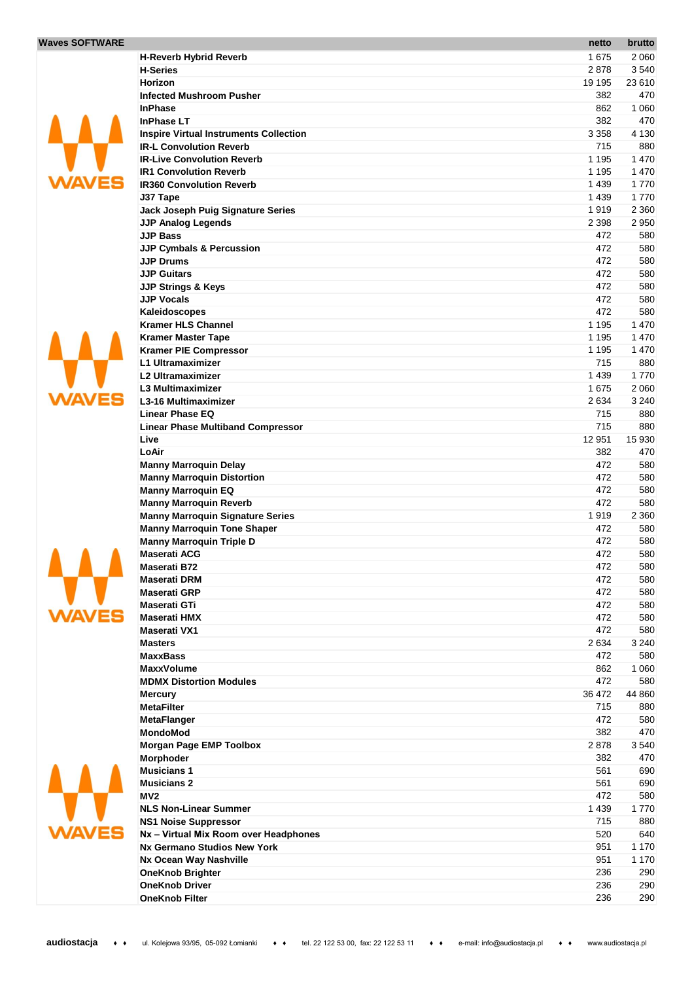## **Waves SOFTWARE**



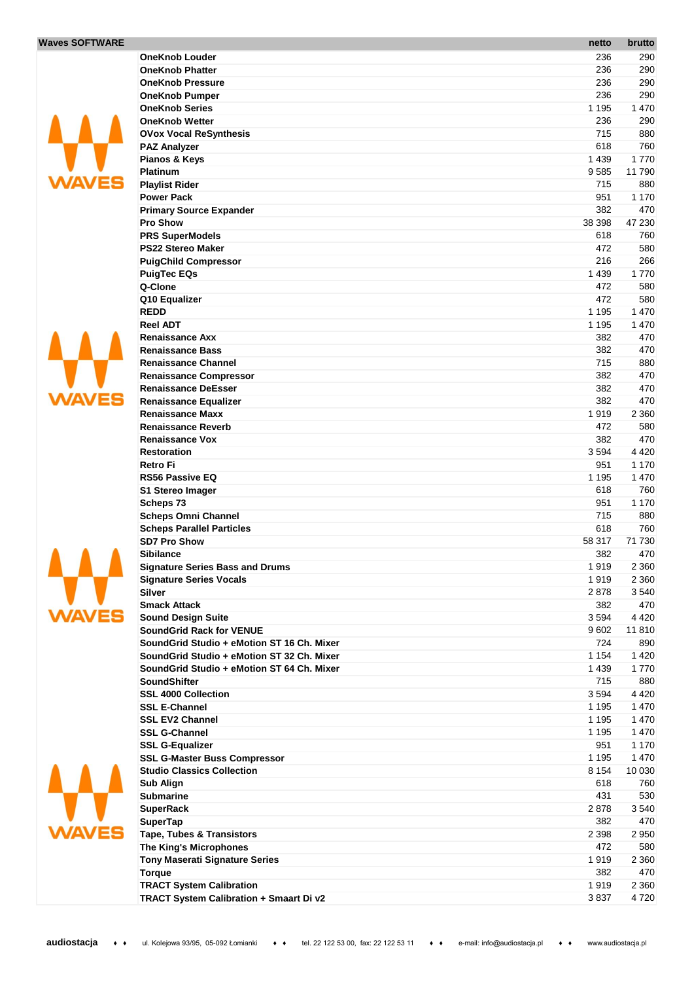





**WAVES** 

|                                            | netto   | brutto  |
|--------------------------------------------|---------|---------|
| <b>OneKnob Louder</b>                      | 236     | 290     |
| <b>OneKnob Phatter</b>                     | 236     | 290     |
| <b>OneKnob Pressure</b>                    | 236     | 290     |
| <b>OneKnob Pumper</b>                      | 236     | 290     |
| <b>OneKnob Series</b>                      | 1 1 9 5 | 1 4 7 0 |
| <b>OneKnob Wetter</b>                      | 236     | 290     |
| <b>OVox Vocal ReSynthesis</b>              | 715     | 880     |
| <b>PAZ Analyzer</b>                        | 618     | 760     |
| Pianos & Keys                              | 1 4 3 9 | 1 7 7 0 |
| <b>Platinum</b>                            | 9585    | 11790   |
| <b>Playlist Rider</b>                      | 715     | 880     |
| <b>Power Pack</b>                          | 951     | 1 1 7 0 |
| <b>Primary Source Expander</b>             | 382     | 470     |
| <b>Pro Show</b>                            | 38 398  | 47 230  |
| <b>PRS SuperModels</b>                     | 618     | 760     |
| <b>PS22 Stereo Maker</b>                   | 472     | 580     |
| <b>PuigChild Compressor</b>                | 216     | 266     |
| <b>PuigTec EQs</b>                         | 1 4 3 9 | 1770    |
| Q-Clone                                    |         |         |
|                                            | 472     | 580     |
| Q10 Equalizer                              | 472     | 580     |
| <b>REDD</b>                                | 1 1 9 5 | 1 470   |
| <b>Reel ADT</b>                            | 1 1 9 5 | 1 470   |
| <b>Renaissance Axx</b>                     | 382     | 470     |
| <b>Renaissance Bass</b>                    | 382     | 470     |
| <b>Renaissance Channel</b>                 | 715     | 880     |
| <b>Renaissance Compressor</b>              | 382     | 470     |
| <b>Renaissance DeEsser</b>                 | 382     | 470     |
| <b>Renaissance Equalizer</b>               | 382     | 470     |
| <b>Renaissance Maxx</b>                    | 1919    | 2 3 6 0 |
| <b>Renaissance Reverb</b>                  | 472     | 580     |
| <b>Renaissance Vox</b>                     | 382     | 470     |
| <b>Restoration</b>                         | 3594    | 4 4 2 0 |
| <b>Retro Fi</b>                            | 951     | 1 170   |
| <b>RS56 Passive EQ</b>                     | 1 1 9 5 | 1 470   |
| <b>S1 Stereo Imager</b>                    | 618     | 760     |
| Scheps 73                                  | 951     | 1 1 7 0 |
| <b>Scheps Omni Channel</b>                 | 715     | 880     |
| <b>Scheps Parallel Particles</b>           | 618     | 760     |
| <b>SD7 Pro Show</b>                        | 58 317  | 71 730  |
| <b>Sibilance</b>                           | 382     | 470     |
| <b>Signature Series Bass and Drums</b>     | 1919    | 2 3 6 0 |
| <b>Signature Series Vocals</b>             | 1919    | 2 3 6 0 |
| <b>Silver</b>                              | 2878    | 3540    |
| <b>Smack Attack</b>                        | 382     | 470     |
| <b>Sound Design Suite</b>                  | 3594    | 4 4 2 0 |
| <b>SoundGrid Rack for VENUE</b>            | 9602    | 11810   |
| SoundGrid Studio + eMotion ST 16 Ch. Mixer | 724     | 890     |
| SoundGrid Studio + eMotion ST 32 Ch. Mixer | 1 1 5 4 | 1420    |
| SoundGrid Studio + eMotion ST 64 Ch. Mixer | 1 4 3 9 | 1770    |
| <b>SoundShifter</b>                        | 715     | 880     |
| <b>SSL 4000 Collection</b>                 | 3594    | 4 4 2 0 |
| <b>SSL E-Channel</b>                       | 1 1 9 5 | 1 4 7 0 |
| <b>SSL EV2 Channel</b>                     | 1 1 9 5 | 1 470   |
| <b>SSL G-Channel</b>                       | 1 1 9 5 | 1 470   |
| <b>SSL G-Equalizer</b>                     | 951     | 1 170   |
| <b>SSL G-Master Buss Compressor</b>        | 1 1 9 5 | 1 470   |
| <b>Studio Classics Collection</b>          | 8 1 5 4 | 10 030  |
| Sub Align                                  | 618     | 760     |
| <b>Submarine</b>                           | 431     | 530     |
| <b>SuperRack</b>                           | 2878    | 3540    |
| <b>SuperTap</b>                            | 382     | 470     |
| <b>Tape, Tubes &amp; Transistors</b>       | 2 3 9 8 | 2 9 5 0 |
| The King's Microphones                     | 472     | 580     |
| <b>Tony Maserati Signature Series</b>      | 1919    | 2 3 6 0 |
| <b>Torque</b>                              | 382     | 470     |
| <b>TRACT System Calibration</b>            | 1919    | 2 3 6 0 |
| TRACT System Calibration + Smaart Di v2    | 3837    | 4720    |
|                                            |         |         |